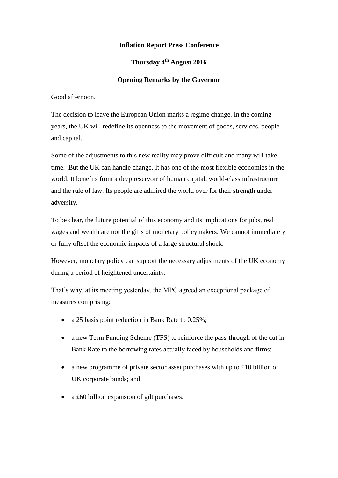# **Inflation Report Press Conference**

# **Thursday 4th August 2016**

## **Opening Remarks by the Governor**

Good afternoon.

The decision to leave the European Union marks a regime change. In the coming years, the UK will redefine its openness to the movement of goods, services, people and capital.

Some of the adjustments to this new reality may prove difficult and many will take time. But the UK can handle change. It has one of the most flexible economies in the world. It benefits from a deep reservoir of human capital, world-class infrastructure and the rule of law. Its people are admired the world over for their strength under adversity.

To be clear, the future potential of this economy and its implications for jobs, real wages and wealth are not the gifts of monetary policymakers. We cannot immediately or fully offset the economic impacts of a large structural shock.

However, monetary policy can support the necessary adjustments of the UK economy during a period of heightened uncertainty.

That's why, at its meeting yesterday, the MPC agreed an exceptional package of measures comprising:

- a 25 basis point reduction in Bank Rate to 0.25%;
- a new Term Funding Scheme (TFS) to reinforce the pass-through of the cut in Bank Rate to the borrowing rates actually faced by households and firms;
- a new programme of private sector asset purchases with up to £10 billion of UK corporate bonds; and
- a £60 billion expansion of gilt purchases.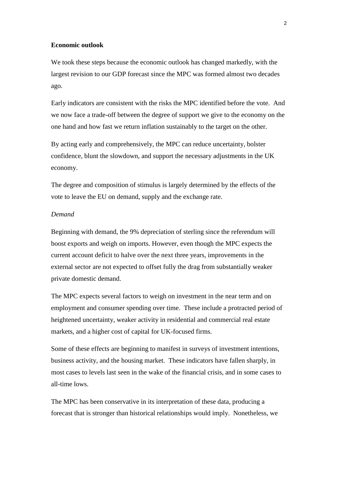#### **Economic outlook**

We took these steps because the economic outlook has changed markedly, with the largest revision to our GDP forecast since the MPC was formed almost two decades ago.

Early indicators are consistent with the risks the MPC identified before the vote. And we now face a trade-off between the degree of support we give to the economy on the one hand and how fast we return inflation sustainably to the target on the other.

By acting early and comprehensively, the MPC can reduce uncertainty, bolster confidence, blunt the slowdown, and support the necessary adjustments in the UK economy.

The degree and composition of stimulus is largely determined by the effects of the vote to leave the EU on demand, supply and the exchange rate.

#### *Demand*

Beginning with demand, the 9% depreciation of sterling since the referendum will boost exports and weigh on imports. However, even though the MPC expects the current account deficit to halve over the next three years, improvements in the external sector are not expected to offset fully the drag from substantially weaker private domestic demand.

The MPC expects several factors to weigh on investment in the near term and on employment and consumer spending over time. These include a protracted period of heightened uncertainty, weaker activity in residential and commercial real estate markets, and a higher cost of capital for UK-focused firms.

Some of these effects are beginning to manifest in surveys of investment intentions, business activity, and the housing market. These indicators have fallen sharply, in most cases to levels last seen in the wake of the financial crisis, and in some cases to all-time lows.

The MPC has been conservative in its interpretation of these data, producing a forecast that is stronger than historical relationships would imply. Nonetheless, we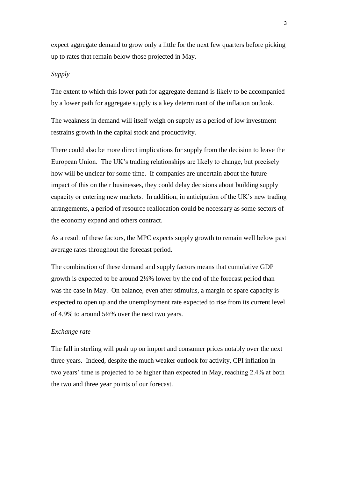expect aggregate demand to grow only a little for the next few quarters before picking up to rates that remain below those projected in May.

## *Supply*

The extent to which this lower path for aggregate demand is likely to be accompanied by a lower path for aggregate supply is a key determinant of the inflation outlook.

The weakness in demand will itself weigh on supply as a period of low investment restrains growth in the capital stock and productivity.

There could also be more direct implications for supply from the decision to leave the European Union. The UK's trading relationships are likely to change, but precisely how will be unclear for some time. If companies are uncertain about the future impact of this on their businesses, they could delay decisions about building supply capacity or entering new markets. In addition, in anticipation of the UK's new trading arrangements, a period of resource reallocation could be necessary as some sectors of the economy expand and others contract.

As a result of these factors, the MPC expects supply growth to remain well below past average rates throughout the forecast period.

The combination of these demand and supply factors means that cumulative GDP growth is expected to be around 2½% lower by the end of the forecast period than was the case in May. On balance, even after stimulus, a margin of spare capacity is expected to open up and the unemployment rate expected to rise from its current level of 4.9% to around 5½% over the next two years.

### *Exchange rate*

The fall in sterling will push up on import and consumer prices notably over the next three years. Indeed, despite the much weaker outlook for activity, CPI inflation in two years' time is projected to be higher than expected in May, reaching 2.4% at both the two and three year points of our forecast.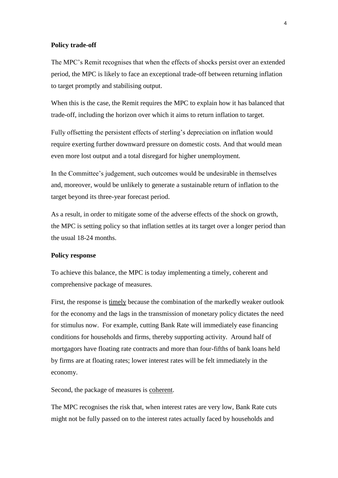#### **Policy trade-off**

The MPC's Remit recognises that when the effects of shocks persist over an extended period, the MPC is likely to face an exceptional trade-off between returning inflation to target promptly and stabilising output.

When this is the case, the Remit requires the MPC to explain how it has balanced that trade-off, including the horizon over which it aims to return inflation to target.

Fully offsetting the persistent effects of sterling's depreciation on inflation would require exerting further downward pressure on domestic costs. And that would mean even more lost output and a total disregard for higher unemployment.

In the Committee's judgement, such outcomes would be undesirable in themselves and, moreover, would be unlikely to generate a sustainable return of inflation to the target beyond its three-year forecast period.

As a result, in order to mitigate some of the adverse effects of the shock on growth, the MPC is setting policy so that inflation settles at its target over a longer period than the usual 18-24 months.

#### **Policy response**

To achieve this balance, the MPC is today implementing a timely, coherent and comprehensive package of measures.

First, the response is timely because the combination of the markedly weaker outlook for the economy and the lags in the transmission of monetary policy dictates the need for stimulus now. For example, cutting Bank Rate will immediately ease financing conditions for households and firms, thereby supporting activity. Around half of mortgagors have floating rate contracts and more than four-fifths of bank loans held by firms are at floating rates; lower interest rates will be felt immediately in the economy.

Second, the package of measures is coherent.

The MPC recognises the risk that, when interest rates are very low, Bank Rate cuts might not be fully passed on to the interest rates actually faced by households and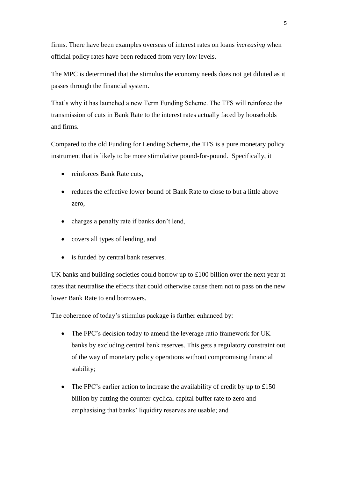firms. There have been examples overseas of interest rates on loans *increasing* when official policy rates have been reduced from very low levels.

The MPC is determined that the stimulus the economy needs does not get diluted as it passes through the financial system.

That's why it has launched a new Term Funding Scheme. The TFS will reinforce the transmission of cuts in Bank Rate to the interest rates actually faced by households and firms.

Compared to the old Funding for Lending Scheme, the TFS is a pure monetary policy instrument that is likely to be more stimulative pound-for-pound. Specifically, it

- reinforces Bank Rate cuts,
- reduces the effective lower bound of Bank Rate to close to but a little above zero,
- charges a penalty rate if banks don't lend,
- covers all types of lending, and
- is funded by central bank reserves.

UK banks and building societies could borrow up to £100 billion over the next year at rates that neutralise the effects that could otherwise cause them not to pass on the new lower Bank Rate to end borrowers.

The coherence of today's stimulus package is further enhanced by:

- The FPC's decision today to amend the leverage ratio framework for UK banks by excluding central bank reserves. This gets a regulatory constraint out of the way of monetary policy operations without compromising financial stability;
- The FPC's earlier action to increase the availability of credit by up to  $\pounds 150$ billion by cutting the counter-cyclical capital buffer rate to zero and emphasising that banks' liquidity reserves are usable; and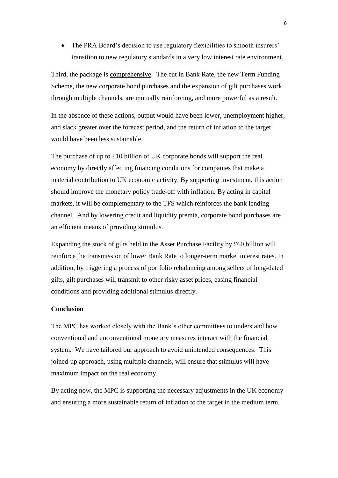• The PRA Board's decision to use regulatory flexibilities to smooth insurers' transition to new regulatory standards in a very low interest rate environment.

Third, the package is comprehensive. The cut in Bank Rate, the new Term Funding Scheme, the new corporate bond purchases and the expansion of gilt purchases work through multiple channels, are mutually reinforcing, and more powerful as a result.

In the absence of these actions, output would have been lower, unemployment higher, and slack greater over the forecast period, and the return of inflation to the target would have been less sustainable.

The purchase of up to £10 billion of UK corporate bonds will support the real economy by directly affecting financing conditions for companies that make a material contribution to UK economic activity. By supporting investment, this action should improve the monetary policy trade-off with inflation. By acting in capital markets, it will be complementary to the TFS which reinforces the bank lending channel. And by lowering credit and liquidity premia, corporate bond purchases are an efficient means of providing stimulus.

Expanding the stock of gilts held in the Asset Purchase Facility by £60 billion will reinforce the transmission of lower Bank Rate to longer-term market interest rates. In addition, by triggering a process of portfolio rebalancing among sellers of long-dated gilts, gilt purchases will transmit to other risky asset prices, easing financial conditions and providing additional stimulus directly.

# **Conclusion**

The MPC has worked closely with the Bank's other committees to understand how conventional and unconventional monetary measures interact with the financial system. We have tailored our approach to avoid unintended consequences. This joined-up approach, using multiple channels, will ensure that stimulus will have maximum impact on the real economy.

By acting now, the MPC is supporting the necessary adjustments in the UK economy and ensuring a more sustainable return of inflation to the target in the medium term.